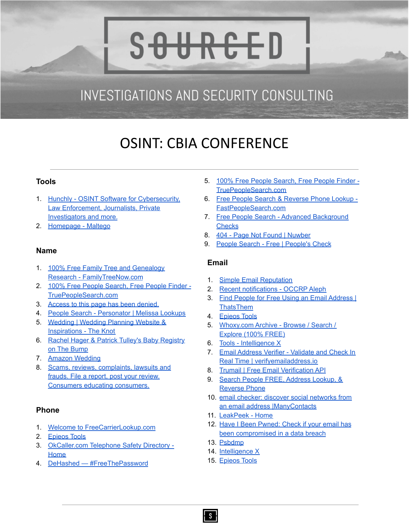# **INVESTIGATIONS AND SECURITY CONSULTING**

S<del>OURCE</del>D

## OSINT: CBIA CONFERENCE

#### **Tools**

- 1. Hunchly OSINT Software for [Cybersecurity,](https://www.hunch.ly/) Law [Enforcement,](https://www.hunch.ly/) Journalists, Private [Investigators](https://www.hunch.ly/) and more.
- 2. [Homepage](https://www.maltego.com/) Maltego

#### **Name**

- 1. 100% Free Family Tree and [Genealogy](https://www.familytreenow.com/) Research - [FamilyTreeNow.com](https://www.familytreenow.com/)
- 2. 100% Free People [Search,](https://www.truepeoplesearch.com/) Free People Finder -[TruePeopleSearch.com](https://www.truepeoplesearch.com/)
- 3. Access to this page has been [denied.](https://www.advancedbackgroundchecks.com/)
- 4. People Search [Personator](https://www.melissa.com/v2/lookups/personatorsearch/) | Melissa Lookups
- 5. [Wedding](https://www.theknot.com/) | Wedding Planning Website & [Inspirations](https://www.theknot.com/) - The Knot
- 6. Rachel Hager & Patrick Tulley's Baby [Registry](https://www.thebump.com/registry) on The [Bump](https://www.thebump.com/registry)
- 7. Amazon [Wedding](https://www.amazon.com/wedding/)
- 8. Scams, reviews, [complaints,](https://www.ripoffreport.com/reports/advanced/) lawsuits and frauds. File a report, post your [review.](https://www.ripoffreport.com/reports/advanced/) Consumers educating [consumers.](https://www.ripoffreport.com/reports/advanced/)

#### **Phone**

- 1. Welcome to [FreeCarrierLookup.com](https://freecarrierlookup.com/)
- 2. [Epieos](https://tools.epieos.com/phone.php) Tools
- 3. [OkCaller.com](https://www.okcaller.com/) Telephone Safety Directory [Home](https://www.okcaller.com/)
- 4. DeHashed [#FreeThePassword](https://dehashed.com/)
- 5. 100% Free People [Search,](https://www.truepeoplesearch.com/) Free People Finder [TruePeopleSearch.com](https://www.truepeoplesearch.com/)
- 6. Free People Search & [Reverse](https://www.fastpeoplesearch.com/) Phone Lookup [FastPeopleSearch.com](https://www.fastpeoplesearch.com/)
- 7. Free People Search Advanced [Background](https://www.advancedbackgroundchecks.com/) **[Checks](https://www.advancedbackgroundchecks.com/)**
- 8. 404 Page Not Found | [Nuwber](https://nuwber.com/phone)
- 9. People Search Free | [People's](https://www.peoplescheck.com/) Check

#### **Email**

- 1. Simple Email [Reputation](https://emailrep.io/)
- 2. Recent [notifications](https://aleph.occrp.org/notifications) OCCRP Aleph
- 3. Find People for Free Using an Email [Address](https://thatsthem.com/reverse-email-lookup) I **[ThatsThem](https://thatsthem.com/reverse-email-lookup)**
- 4. [Epieos](https://tools.epieos.com/google-account.php) Tools
- 5. [Whoxy.com](https://www.whoxy.com/archive.php) Archive Browse / Search / [Explore](https://www.whoxy.com/archive.php) (100% FREE)
- 6. Tools [Intelligence](https://intelx.io/tools?tab=email) X
- 7. Email [Address](https://tools.verifyemailaddress.io/) Verifier Validate and Check In Real Time | [verifyemailaddress.io](https://tools.verifyemailaddress.io/)
- 8. Trumail | Free Email [Verification](https://trumail.io/) API
- 9. Search People FREE, [Address](https://www.searchpeoplefree.com/) Lookup, & [Reverse](https://www.searchpeoplefree.com/) Phone
- 10. email checker: discover social [networks](https://www.manycontacts.com/en/mail-check) from an email address [|ManyContacts](https://www.manycontacts.com/en/mail-check)
- 11. [LeakPeek](https://leakpeek.com/) Home
- 12. Have I Been [Pwned:](https://haveibeenpwned.com/) Check if your email has been [compromised](https://haveibeenpwned.com/) in a data breach
- 13. [Psbdmp](https://psbdmp.ws/)
- 14. [Intelligence](https://intelx.io/) X
- 15. [Epieos](https://tools.epieos.com/holehe.php) Tools